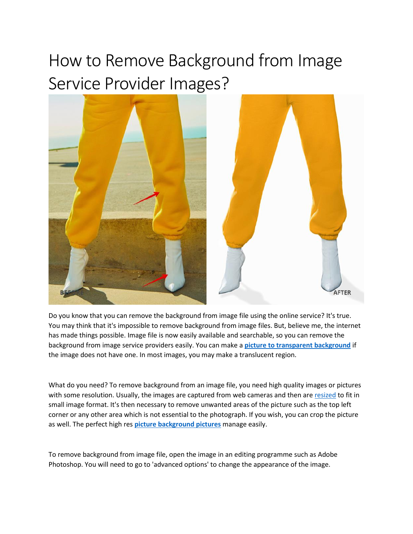## How to Remove Background from Image Service Provider Images?



Do you know that you can remove the background from image file using the online service? It's true. You may think that it's impossible to remove background from image files. But, believe me, the internet has made things possible. Image file is now easily available and searchable, so you can remove the background from image service providers easily. You can make a **picture to [transparent background](https://imageeditingasia.com/background-removal-service/)** if the image does not have one. In most images, you may make a translucent region.

What do you need? To remove background from an image file, you need high quality images or pictures with some resolution. Usually, the images are captured from web cameras and then ar[e resized](http://www.pugetsound.edu/step-step-guides-and-walkthroughs/how-resize-image-photoshop) to fit in small image format. It's then necessary to remove unwanted areas of the picture such as the top left corner or any other area which is not essential to the photograph. If you wish, you can crop the picture as well. The perfect high res **picture [background pictures](https://imageeditingasia.com/background-removal-service/)** manage easily.

To remove background from image file, open the image in an editing programme such as Adobe Photoshop. You will need to go to 'advanced options' to change the appearance of the image.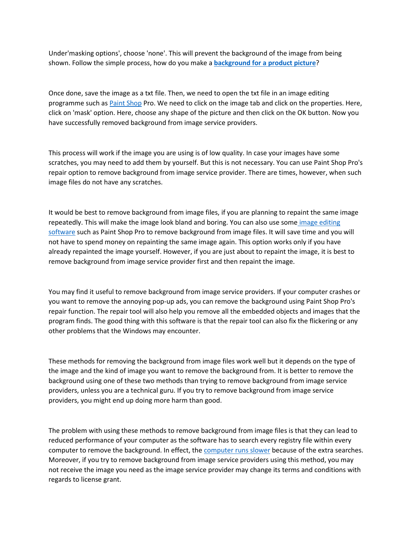Under'masking options', choose 'none'. This will prevent the background of the image from being shown. Follow the simple process, how do you make a **[background for a product picture](https://imageeditingasia.com/background-removal-service/)**?

Once done, save the image as a txt file. Then, we need to open the txt file in an image editing programme such as [Paint Shop](https://www.paintshoppro.com/en/) Pro. We need to click on the image tab and click on the properties. Here, click on 'mask' option. Here, choose any shape of the picture and then click on the OK button. Now you have successfully removed background from image service providers.

This process will work if the image you are using is of low quality. In case your images have some scratches, you may need to add them by yourself. But this is not necessary. You can use Paint Shop Pro's repair option to remove background from image service provider. There are times, however, when such image files do not have any scratches.

It would be best to remove background from image files, if you are planning to repaint the same image repeatedly. This will make the image look bland and boring. You can also use some image editing [software](https://www.pcmag.com/picks/the-best-photo-editing-software) such as Paint Shop Pro to remove background from image files. It will save time and you will not have to spend money on repainting the same image again. This option works only if you have already repainted the image yourself. However, if you are just about to repaint the image, it is best to remove background from image service provider first and then repaint the image.

You may find it useful to remove background from image service providers. If your computer crashes or you want to remove the annoying pop-up ads, you can remove the background using Paint Shop Pro's repair function. The repair tool will also help you remove all the embedded objects and images that the program finds. The good thing with this software is that the repair tool can also fix the flickering or any other problems that the Windows may encounter.

These methods for removing the background from image files work well but it depends on the type of the image and the kind of image you want to remove the background from. It is better to remove the background using one of these two methods than trying to remove background from image service providers, unless you are a technical guru. If you try to remove background from image service providers, you might end up doing more harm than good.

The problem with using these methods to remove background from image files is that they can lead to reduced performance of your computer as the software has to search every registry file within every computer to remove the background. In effect, the [computer runs slower](https://www.ccleaner.com/knowledge/why-your-pc-is-so-slow-and-how-you-can-speed-it-up) because of the extra searches. Moreover, if you try to remove background from image service providers using this method, you may not receive the image you need as the image service provider may change its terms and conditions with regards to license grant.